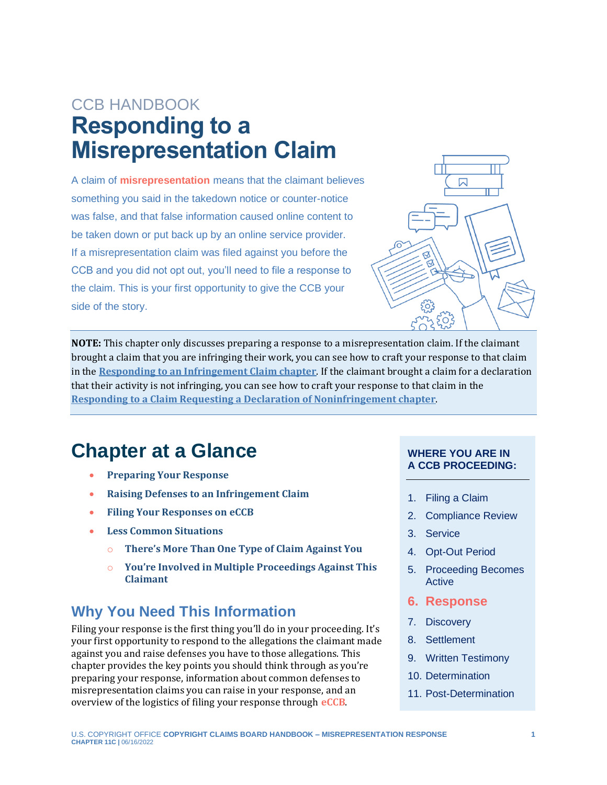# CCB HANDBOOK **Responding to a Misrepresentation Claim**

<span id="page-0-1"></span>A claim of **[misrepresentation](#page-10-0)** means that the claimant believes something you said in the takedown notice or counter-notice was false, and that false information caused online content to be taken down or put back up by an online service provider. If a misrepresentation claim was filed against you before the CCB and you did not opt out, you'll need to file a response to the claim. This is your first opportunity to give the CCB your side of the story.



**NOTE:** This chapter only discusses preparing a response to a misrepresentation claim. If the claimant brought a claim that you are infringing their work, you can see how to craft your response to that claim in the **[Responding to an Infringement Claim chapter](https://ccb.gov/handbook/Response-Infringement.pdf)**. If the claimant brought a claim for a declaration that their activity is not infringing, you can see how to craft your response to that claim in the **[Responding to a Claim Requesting a Declaration of Noninfringement chapter](https://ccb.gov/handbook/Response-Noninfringement.pdf)**.

## **Chapter at a Glance**

- **[Preparing Your Response](#page-1-0)**
- **[Raising Defenses to an Infringement Claim](#page-4-0)**
- **[Filing Your Responses on](#page-7-0) eCCB**
- **[Less Common Situations](#page-9-0)**
	- o **[There's More Than One Type of Claim Against You](#page-9-1)**
	- o **[You're Involved in Multiple Proceedings Against This](#page-9-2)  [Claimant](#page-9-2)**

## **Why You Need This Information**

Filing your response is the first thing you'll do in your proceeding. It's your first opportunity to respond to the allegations the claimant made against you and raise defenses you have to those allegations. This chapter provides the key points you should think through as you're preparing your response, information about common defenses to misrepresentation claims you can raise in your response, and an overview of the logistics of filing your response through **[eCCB](#page-10-0)**.

#### **WHERE YOU ARE IN A CCB PROCEEDING:**

- 1. Filing a Claim
- 2. Compliance Review
- 3. Service
- 4. Opt-Out Period
- 5. Proceeding Becomes Active
- **6. Response**
- 7. Discovery
- 8. Settlement
- 9. Written Testimony
- 10. Determination
- <span id="page-0-0"></span>11. Post-Determination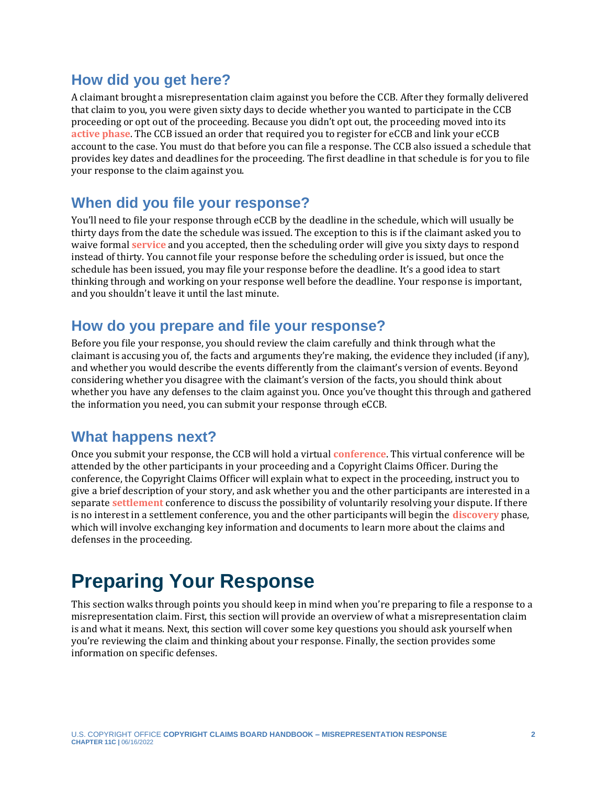### **How did you get here?**

<span id="page-1-1"></span>A claimant brought a misrepresentation claim against you before the CCB. After they formally delivered that claim to you, you were given sixty days to decide whether you wanted to participate in the CCB proceeding or opt out of the proceeding. Because you didn't opt out, the proceeding moved into its **[active phase](#page-10-0)**. The CCB issued an order that required you to register for eCCB and link your eCCB account to the case. You must do that before you can file a response. The CCB also issued a schedule that provides key dates and deadlines for the proceeding. The first deadline in that schedule is for you to file your response to the claim against you.

### **When did you file your response?**

<span id="page-1-4"></span>You'll need to file your response through eCCB by the deadline in the schedule, which will usually be thirty days from the date the schedule was issued. The exception to this is if the claimant asked you to waive formal **[service](#page-10-0)** and you accepted, then the scheduling order will give you sixty days to respond instead of thirty. You cannot file your response before the scheduling order is issued, but once the schedule has been issued, you may file your response before the deadline. It's a good idea to start thinking through and working on your response well before the deadline. Your response is important, and you shouldn't leave it until the last minute.

### **How do you prepare and file your response?**

Before you file your response, you should review the claim carefully and think through what the claimant is accusing you of, the facts and arguments they're making, the evidence they included (if any), and whether you would describe the events differently from the claimant's version of events. Beyond considering whether you disagree with the claimant's version of the facts, you should think about whether you have any defenses to the claim against you. Once you've thought this through and gathered the information you need, you can submit your response through eCCB.

### **What happens next?**

<span id="page-1-5"></span><span id="page-1-3"></span><span id="page-1-2"></span>Once you submit your response, the CCB will hold a virtual **[conference](#page-10-0)**. This virtual conference will be attended by the other participants in your proceeding and a Copyright Claims Officer. During the conference, the Copyright Claims Officer will explain what to expect in the proceeding, instruct you to give a brief description of your story, and ask whether you and the other participants are interested in a separate **[settlement](#page-10-0)** conference to discuss the possibility of voluntarily resolving your dispute. If there is no interest in a settlement conference, you and the other participants will begin the **[discovery](#page-10-0)** phase, which will involve exchanging key information and documents to learn more about the claims and defenses in the proceeding.

# <span id="page-1-0"></span>**Preparing Your Response**

This section walks through points you should keep in mind when you're preparing to file a response to a misrepresentation claim. First, this section will provide an overview of what a misrepresentation claim is and what it means. Next, this section will cover some key questions you should ask yourself when you're reviewing the claim and thinking about your response. Finally, the section provides some information on specific defenses.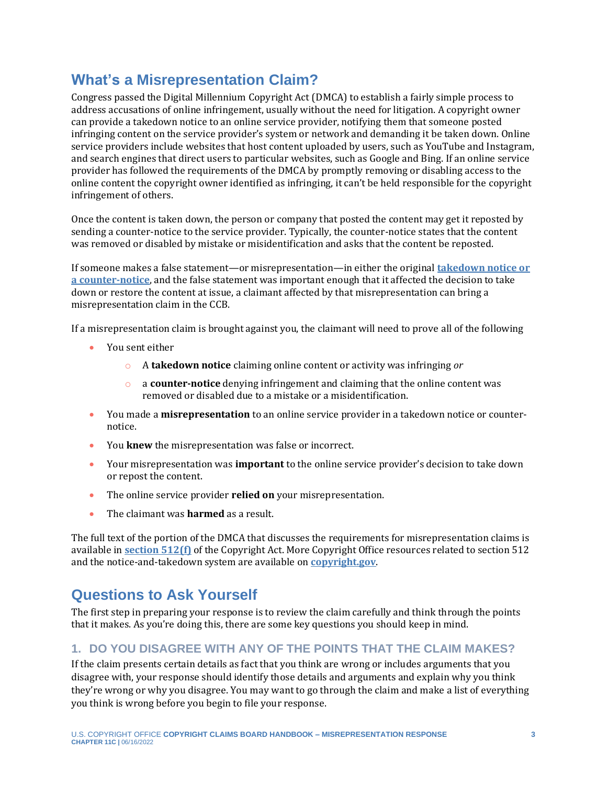## **What's a Misrepresentation Claim?**

Congress passed the Digital Millennium Copyright Act (DMCA) to establish a fairly simple process to address accusations of online infringement, usually without the need for litigation. A copyright owner can provide a takedown notice to an online service provider, notifying them that someone posted infringing content on the service provider's system or network and demanding it be taken down. Online service providers include websites that host content uploaded by users, such as YouTube and Instagram, and search engines that direct users to particular websites, such as Google and Bing. If an online service provider has followed the requirements of the DMCA by promptly removing or disabling access to the online content the copyright owner identified as infringing, it can't be held responsible for the copyright infringement of others.

Once the content is taken down, the person or company that posted the content may get it reposted by sending a counter-notice to the service provider. Typically, the counter-notice states that the content was removed or disabled by mistake or misidentification and asks that the content be reposted.

If someone makes a false statement—or misrepresentation—in either the original **[takedown notice or](https://www.youtube.com/watch?v=NAMNQWiDOOc)  [a counter-notice](https://www.youtube.com/watch?v=NAMNQWiDOOc)**, and the false statement was important enough that it affected the decision to take down or restore the content at issue, a claimant affected by that misrepresentation can bring a misrepresentation claim in the CCB.

If a misrepresentation claim is brought against you, the claimant will need to prove all of the following

- You sent either
	- o A **takedown notice** claiming online content or activity was infringing *or*
	- o a **counter-notice** denying infringement and claiming that the online content was removed or disabled due to a mistake or a misidentification.
- You made a **misrepresentation** to an online service provider in a takedown notice or counternotice.
- You **knew** the misrepresentation was false or incorrect.
- Your misrepresentation was **important** to the online service provider's decision to take down or repost the content.
- The online service provider **relied on** your misrepresentation.
- The claimant was **harmed** as a result.

The full text of the portion of the DMCA that discusses the requirements for misrepresentation claims is available in **[section 512\(f\)](https://www.copyright.gov/title17/92chap5.html#512)** of the Copyright Act. More Copyright Office resources related to section 512 and the notice-and-takedown system are available on **[copyright.gov](https://www.copyright.gov/512/)**.

## **Questions to Ask Yourself**

The first step in preparing your response is to review the claim carefully and think through the points that it makes. As you're doing this, there are some key questions you should keep in mind.

### **1. DO YOU DISAGREE WITH ANY OF THE POINTS THAT THE CLAIM MAKES?**

If the claim presents certain details as fact that you think are wrong or includes arguments that you disagree with, your response should identify those details and arguments and explain why you think they're wrong or why you disagree. You may want to go through the claim and make a list of everything you think is wrong before you begin to file your response.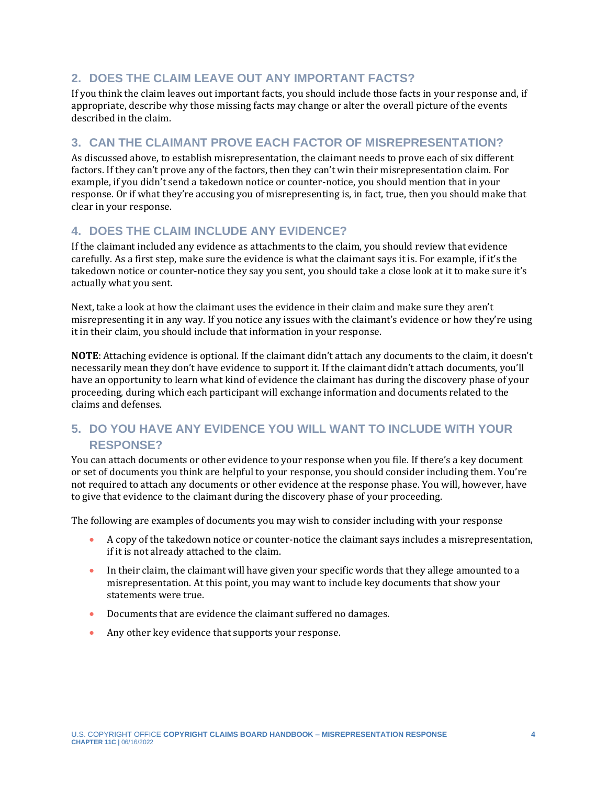### **2. DOES THE CLAIM LEAVE OUT ANY IMPORTANT FACTS?**

If you think the claim leaves out important facts, you should include those facts in your response and, if appropriate, describe why those missing facts may change or alter the overall picture of the events described in the claim.

### **3. CAN THE CLAIMANT PROVE EACH FACTOR OF MISREPRESENTATION?**

As discussed above, to establish misrepresentation, the claimant needs to prove each of six different factors. If they can't prove any of the factors, then they can't win their misrepresentation claim. For example, if you didn't send a takedown notice or counter-notice, you should mention that in your response. Or if what they're accusing you of misrepresenting is, in fact, true, then you should make that clear in your response.

### **4. DOES THE CLAIM INCLUDE ANY EVIDENCE?**

If the claimant included any evidence as attachments to the claim, you should review that evidence carefully. As a first step, make sure the evidence is what the claimant says it is. For example, if it's the takedown notice or counter-notice they say you sent, you should take a close look at it to make sure it's actually what you sent.

Next, take a look at how the claimant uses the evidence in their claim and make sure they aren't misrepresenting it in any way. If you notice any issues with the claimant's evidence or how they're using it in their claim, you should include that information in your response.

**NOTE**: Attaching evidence is optional. If the claimant didn't attach any documents to the claim, it doesn't necessarily mean they don't have evidence to support it. If the claimant didn't attach documents, you'll have an opportunity to learn what kind of evidence the claimant has during the discovery phase of your proceeding, during which each participant will exchange information and documents related to the claims and defenses.

### **5. DO YOU HAVE ANY EVIDENCE YOU WILL WANT TO INCLUDE WITH YOUR RESPONSE?**

You can attach documents or other evidence to your response when you file. If there's a key document or set of documents you think are helpful to your response, you should consider including them. You're not required to attach any documents or other evidence at the response phase. You will, however, have to give that evidence to the claimant during the discovery phase of your proceeding.

The following are examples of documents you may wish to consider including with your response

- A copy of the takedown notice or counter-notice the claimant says includes a misrepresentation, if it is not already attached to the claim.
- In their claim, the claimant will have given your specific words that they allege amounted to a misrepresentation. At this point, you may want to include key documents that show your statements were true.
- Documents that are evidence the claimant suffered no damages.
- Any other key evidence that supports your response.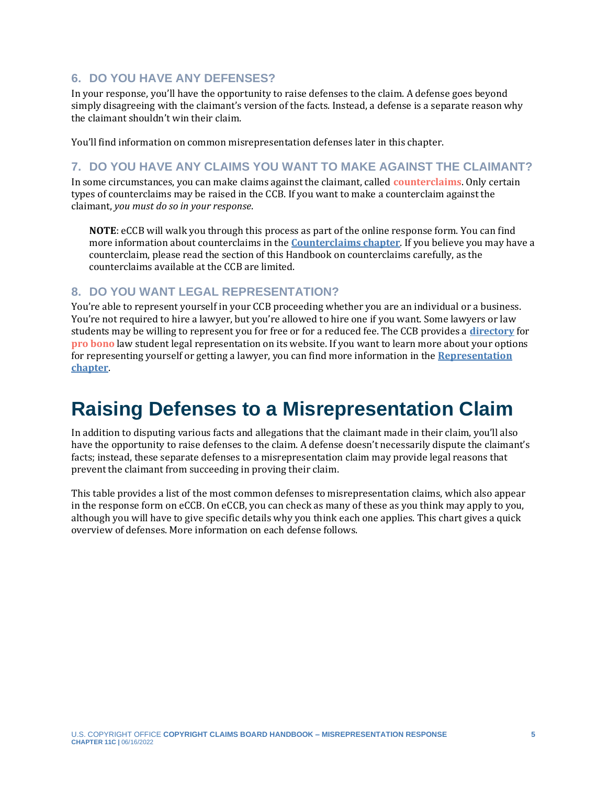### **6. DO YOU HAVE ANY DEFENSES?**

In your response, you'll have the opportunity to raise defenses to the claim. A defense goes beyond simply disagreeing with the claimant's version of the facts. Instead, a defense is a separate reason why the claimant shouldn't win their claim.

You'll find information on common misrepresentation defenses later in this chapter.

### **7. DO YOU HAVE ANY CLAIMS YOU WANT TO MAKE AGAINST THE CLAIMANT?**

In some circumstances, you can make claims against the claimant, called **[counterclaims](#page-10-0)**. Only certain types of counterclaims may be raised in the CCB. If you want to make a counterclaim against the claimant, *you must do so in your response*.

<span id="page-4-1"></span>**NOTE**: eCCB will walk you through this process as part of the online response form. You can find more information about counterclaims in the **[Counterclaims chapter](https://ccb.gov/handbook/Counterclaims.pdf)**. If you believe you may have a counterclaim, please read the section of this Handbook on counterclaims carefully, as the counterclaims available at the CCB are limited.

#### **8. DO YOU WANT LEGAL REPRESENTATION?**

<span id="page-4-2"></span>You're able to represent yourself in your CCB proceeding whether you are an individual or a business. You're not required to hire a lawyer, but you're allowed to hire one if you want. Some lawyers or law students may be willing to represent you for free or for a reduced fee. The CCB provides a **[directory](https://ccb.gov/pro-bono-assistance/)** for **[pro bono](#page-10-0)** law student legal representation on its website. If you want to learn more about your options for representing yourself or getting a lawyer, you can find more information in the **[Representation](https://ccb.gov/handbook/Representation.pdf)  [chapter](https://ccb.gov/handbook/Representation.pdf)**.

# <span id="page-4-0"></span>**Raising Defenses to a Misrepresentation Claim**

In addition to disputing various facts and allegations that the claimant made in their claim, you'll also have the opportunity to raise defenses to the claim. A defense doesn't necessarily dispute the claimant's facts; instead, these separate defenses to a misrepresentation claim may provide legal reasons that prevent the claimant from succeeding in proving their claim.

This table provides a list of the most common defenses to misrepresentation claims, which also appear in the response form on eCCB. On eCCB, you can check as many of these as you think may apply to you, although you will have to give specific details why you think each one applies. This chart gives a quick overview of defenses. More information on each defense follows.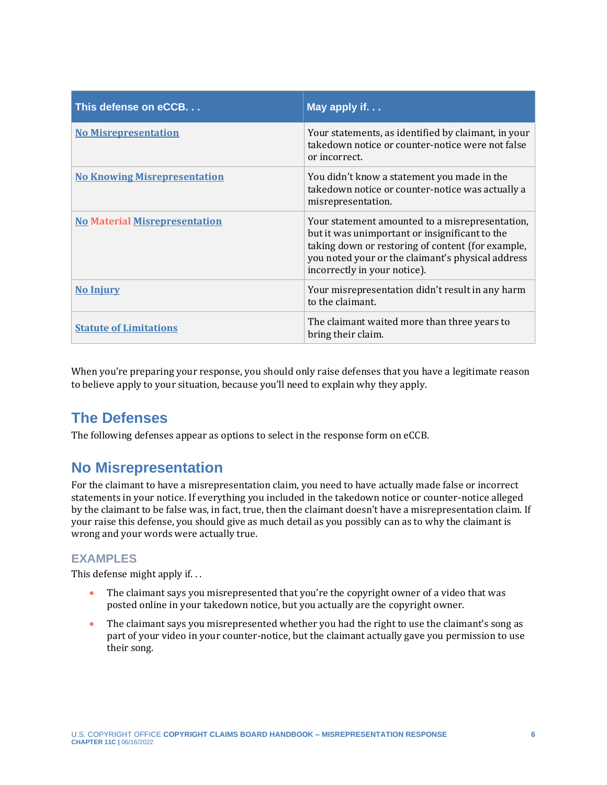<span id="page-5-1"></span>

| This defense on eCCB.                | May apply if                                                                                                                                                                                                                                |
|--------------------------------------|---------------------------------------------------------------------------------------------------------------------------------------------------------------------------------------------------------------------------------------------|
| <b>No Misrepresentation</b>          | Your statements, as identified by claimant, in your<br>takedown notice or counter-notice were not false<br>or incorrect.                                                                                                                    |
| <b>No Knowing Misrepresentation</b>  | You didn't know a statement you made in the<br>takedown notice or counter-notice was actually a<br>misrepresentation.                                                                                                                       |
| <b>No Material Misrepresentation</b> | Your statement amounted to a misrepresentation,<br>but it was unimportant or insignificant to the<br>taking down or restoring of content (for example,<br>you noted your or the claimant's physical address<br>incorrectly in your notice). |
| <b>No Injury</b>                     | Your misrepresentation didn't result in any harm<br>to the claimant.                                                                                                                                                                        |
| <b>Statute of Limitations</b>        | The claimant waited more than three years to<br>bring their claim.                                                                                                                                                                          |

When you're preparing your response, you should only raise defenses that you have a legitimate reason to believe apply to your situation, because you'll need to explain why they apply.

## **The Defenses**

The following defenses appear as options to select in the response form on eCCB.

## <span id="page-5-0"></span>**No Misrepresentation**

For the claimant to have a misrepresentation claim, you need to have actually made false or incorrect statements in your notice. If everything you included in the takedown notice or counter-notice alleged by the claimant to be false was, in fact, true, then the claimant doesn't have a misrepresentation claim. If your raise this defense, you should give as much detail as you possibly can as to why the claimant is wrong and your words were actually true.

### **EXAMPLES**

This defense might apply if. . .

- The claimant says you misrepresented that you're the copyright owner of a video that was posted online in your takedown notice, but you actually are the copyright owner.
- The claimant says you misrepresented whether you had the right to use the claimant's song as part of your video in your counter-notice, but the claimant actually gave you permission to use their song.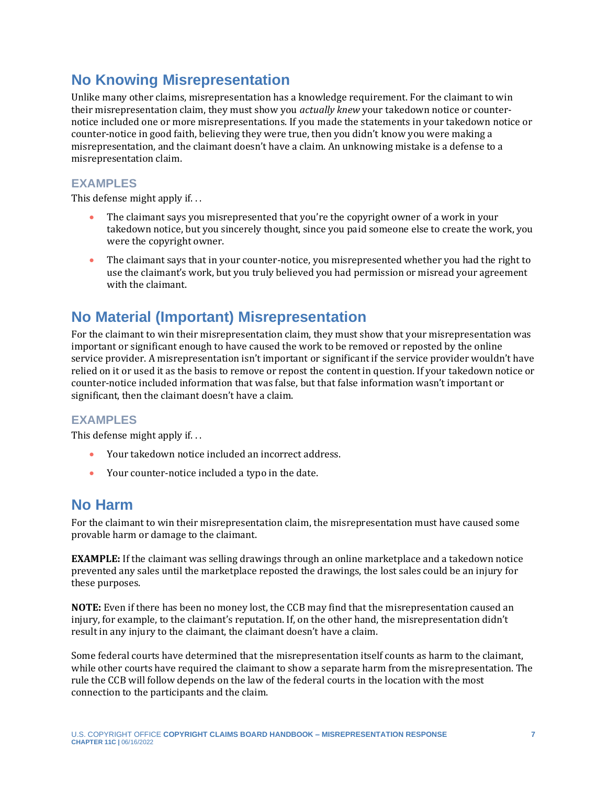## <span id="page-6-0"></span>**No Knowing Misrepresentation**

Unlike many other claims, misrepresentation has a knowledge requirement. For the claimant to win their misrepresentation claim, they must show you *actually knew* your takedown notice or counternotice included one or more misrepresentations. If you made the statements in your takedown notice or counter-notice in good faith, believing they were true, then you didn't know you were making a misrepresentation, and the claimant doesn't have a claim. An unknowing mistake is a defense to a misrepresentation claim.

### **EXAMPLES**

This defense might apply if. . .

- The claimant says you misrepresented that you're the copyright owner of a work in your takedown notice, but you sincerely thought, since you paid someone else to create the work, you were the copyright owner.
- The claimant says that in your counter-notice, you misrepresented whether you had the right to use the claimant's work, but you truly believed you had permission or misread your agreement with the claimant.

## <span id="page-6-1"></span>**No Material (Important) Misrepresentation**

For the claimant to win their misrepresentation claim, they must show that your misrepresentation was important or significant enough to have caused the work to be removed or reposted by the online service provider. A misrepresentation isn't important or significant if the service provider wouldn't have relied on it or used it as the basis to remove or repost the content in question. If your takedown notice or counter-notice included information that was false, but that false information wasn't important or significant, then the claimant doesn't have a claim.

### **EXAMPLES**

This defense might apply if. . .

- Your takedown notice included an incorrect address.
- Your counter-notice included a typo in the date.

### <span id="page-6-2"></span>**No Harm**

For the claimant to win their misrepresentation claim, the misrepresentation must have caused some provable harm or damage to the claimant.

**EXAMPLE:** If the claimant was selling drawings through an online marketplace and a takedown notice prevented any sales until the marketplace reposted the drawings, the lost sales could be an injury for these purposes.

**NOTE:** Even if there has been no money lost, the CCB may find that the misrepresentation caused an injury, for example, to the claimant's reputation. If, on the other hand, the misrepresentation didn't result in any injury to the claimant, the claimant doesn't have a claim.

Some federal courts have determined that the misrepresentation itself counts as harm to the claimant, while other courts have required the claimant to show a separate harm from the misrepresentation. The rule the CCB will follow depends on the law of the federal courts in the location with the most connection to the participants and the claim.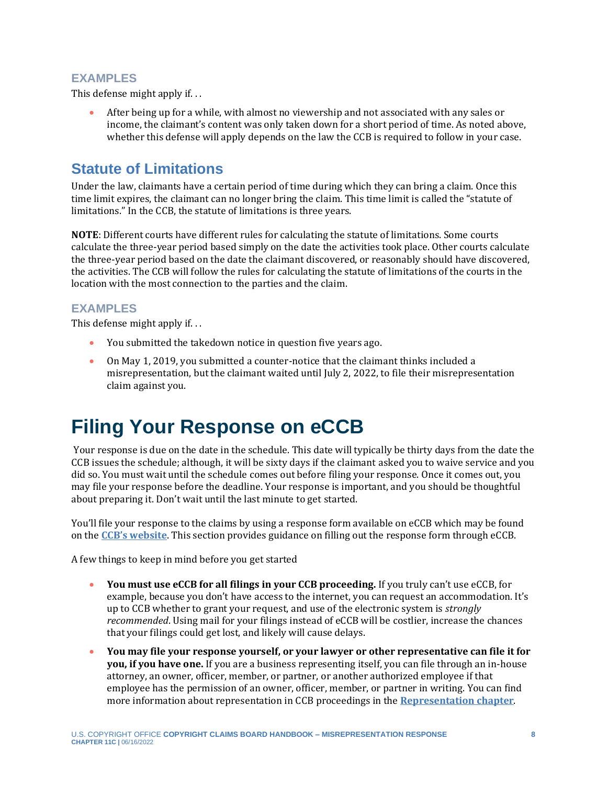### **EXAMPLES**

<span id="page-7-1"></span>This defense might apply if. . .

• After being up for a while, with almost no viewership and not associated with any sales or income, the claimant's content was only taken down for a short period of time. As noted above, whether this defense will apply depends on the law the CCB is required to follow in your case.

## **Statute of Limitations**

Under the law, claimants have a certain period of time during which they can bring a claim. Once this time limit expires, the claimant can no longer bring the claim. This time limit is called the "statute of limitations." In the CCB, the statute of limitations is three years.

**NOTE**: Different courts have different rules for calculating the statute of limitations. Some courts calculate the three-year period based simply on the date the activities took place. Other courts calculate the three-year period based on the date the claimant discovered, or reasonably should have discovered, the activities. The CCB will follow the rules for calculating the statute of limitations of the courts in the location with the most connection to the parties and the claim.

#### **EXAMPLES**

This defense might apply if. . .

- You submitted the takedown notice in question five years ago.
- On May 1, 2019, you submitted a counter-notice that the claimant thinks included a misrepresentation, but the claimant waited until July 2, 2022, to file their misrepresentation claim against you.

# <span id="page-7-0"></span>**Filing Your Response on eCCB**

Your response is due on the date in the schedule. This date will typically be thirty days from the date the CCB issues the schedule; although, it will be sixty days if the claimant asked you to waive service and you did so. You must wait until the schedule comes out before filing your response. Once it comes out, you may file your response before the deadline. Your response is important, and you should be thoughtful about preparing it. Don't wait until the last minute to get started.

You'll file your response to the claims by using a response form available on eCCB which may be found on the **[CCB's website](https://ccb.gov/)**. This section provides guidance on filling out the response form through eCCB.

A few things to keep in mind before you get started

- **You must use eCCB for all filings in your CCB proceeding.** If you truly can't use eCCB, for example, because you don't have access to the internet, you can request an accommodation. It's up to CCB whether to grant your request, and use of the electronic system is *strongly recommended*. Using mail for your filings instead of eCCB will be costlier, increase the chances that your filings could get lost, and likely will cause delays.
- **You may file your response yourself, or your lawyer or other representative can file it for you, if you have one.** If you are a business representing itself, you can file through an in-house attorney, an owner, officer, member, or partner, or another authorized employee if that employee has the permission of an owner, officer, member, or partner in writing. You can find more information about representation in CCB proceedings in the **[Representation chapter](https://ccb.gov/handbook/Representation.pdf)**.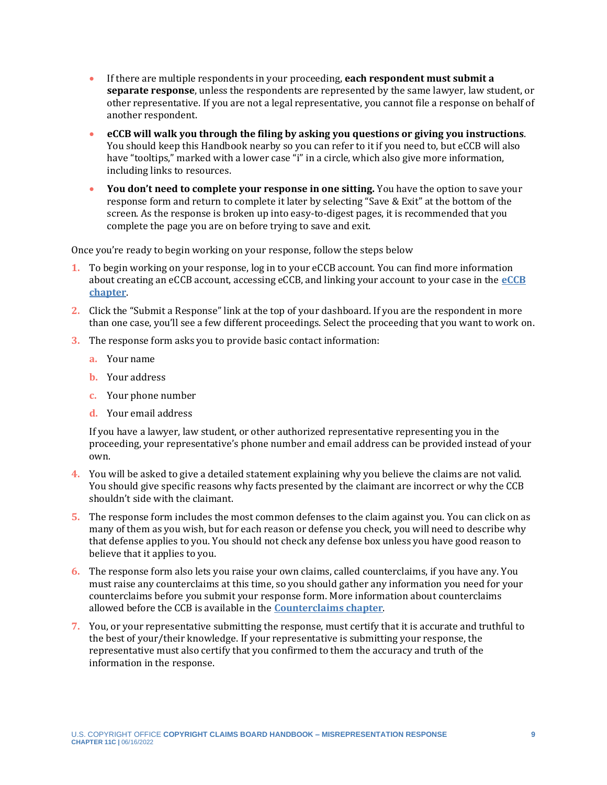- If there are multiple respondents in your proceeding, **each respondent must submit a separate response**, unless the respondents are represented by the same lawyer, law student, or other representative. If you are not a legal representative, you cannot file a response on behalf of another respondent.
- **eCCB will walk you through the filing by asking you questions or giving you instructions**. You should keep this Handbook nearby so you can refer to it if you need to, but eCCB will also have "tooltips," marked with a lower case "i" in a circle, which also give more information, including links to resources.
- **You don't need to complete your response in one sitting.** You have the option to save your response form and return to complete it later by selecting "Save & Exit" at the bottom of the screen. As the response is broken up into easy-to-digest pages, it is recommended that you complete the page you are on before trying to save and exit.

Once you're ready to begin working on your response, follow the steps below

- **1.** To begin working on your response, log in to your eCCB account. You can find more information about creating an eCCB account, accessing eCCB, and linking your account to your case in the **[eCCB](https://ccb.gov/handbook/eCCB.pdf)  [chapter](https://ccb.gov/handbook/eCCB.pdf)**.
- **2.** Click the "Submit a Response" link at the top of your dashboard. If you are the respondent in more than one case, you'll see a few different proceedings. Select the proceeding that you want to work on.
- **3.** The response form asks you to provide basic contact information:
	- **a.** Your name
	- **b.** Your address
	- **c.** Your phone number
	- **d.** Your email address

If you have a lawyer, law student, or other authorized representative representing you in the proceeding, your representative's phone number and email address can be provided instead of your own.

- **4.** You will be asked to give a detailed statement explaining why you believe the claims are not valid. You should give specific reasons why facts presented by the claimant are incorrect or why the CCB shouldn't side with the claimant.
- **5.** The response form includes the most common defenses to the claim against you. You can click on as many of them as you wish, but for each reason or defense you check, you will need to describe why that defense applies to you. You should not check any defense box unless you have good reason to believe that it applies to you.
- **6.** The response form also lets you raise your own claims, called counterclaims, if you have any. You must raise any counterclaims at this time, so you should gather any information you need for your counterclaims before you submit your response form. More information about counterclaims allowed before the CCB is available in the **[Counterclaims chapter](https://ccb.gov/handbook/Counterclaims.pdf)**.
- **7.** You, or your representative submitting the response, must certify that it is accurate and truthful to the best of your/their knowledge. If your representative is submitting your response, the representative must also certify that you confirmed to them the accuracy and truth of the information in the response.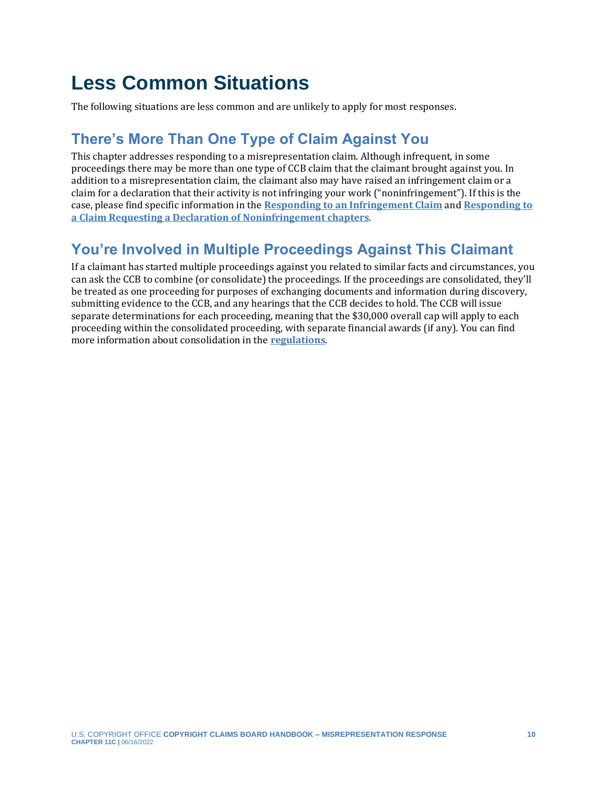# <span id="page-9-0"></span>**Less Common Situations**

The following situations are less common and are unlikely to apply for most responses.

## <span id="page-9-1"></span>**There's More Than One Type of Claim Against You**

This chapter addresses responding to a misrepresentation claim. Although infrequent, in some proceedings there may be more than one type of CCB claim that the claimant brought against you. In addition to a misrepresentation claim, the claimant also may have raised an infringement claim or a claim for a declaration that their activity is not infringing your work ("noninfringement"). If this is the case, please find specific information in the **[Responding to an Infringement Claim](https://ccb.gov/handbook/Response-Infringement.pdf)** and **[Responding to](https://ccb.gov/handbook/Response-Noninfringement.pdf)  [a Claim Requesting a Declaration of Noninfringement chapters](https://ccb.gov/handbook/Response-Noninfringement.pdf)**.

## <span id="page-9-2"></span>**You're Involved in Multiple Proceedings Against This Claimant**

If a claimant has started multiple proceedings against you related to similar facts and circumstances, you can ask the CCB to combine (or consolidate) the proceedings. If the proceedings are consolidated, they'll be treated as one proceeding for purposes of exchanging documents and information during discovery, submitting evidence to the CCB, and any hearings that the CCB decides to hold. The CCB will issue separate determinations for each proceeding, meaning that the \$30,000 overall cap will apply to each proceeding within the consolidated proceeding, with separate financial awards (if any). You can find more information about consolidation in the **[regulations](https://www.govinfo.gov/content/pkg/FR-2022-05-17/pdf/2022-10466.pdf)**.